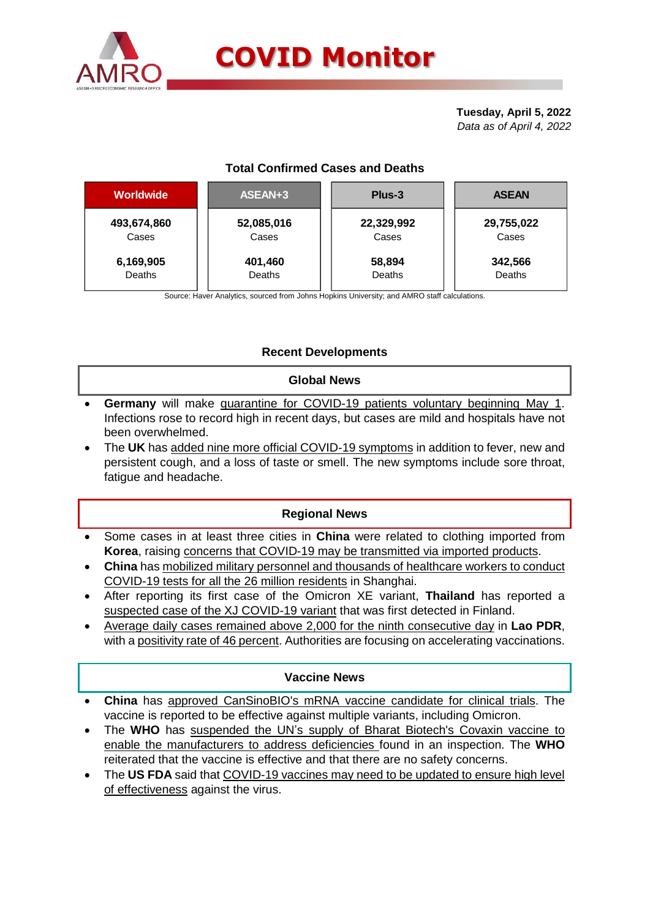

# **COVID Monitor**

**Tuesday, April 5, 2022** *Data as of April 4, 2022*

## **Total Confirmed Cases and Deaths**

| <b>Worldwide</b> | ASEAN+3    | Plus-3     | <b>ASEAN</b> |  |  |
|------------------|------------|------------|--------------|--|--|
| 493,674,860      | 52,085,016 | 22,329,992 | 29,755,022   |  |  |
| Cases            | Cases      | Cases      | Cases        |  |  |
| 6,169,905        | 401,460    | 58,894     | 342,566      |  |  |
| Deaths           | Deaths     | Deaths     | Deaths       |  |  |

Source: Haver Analytics, sourced from Johns Hopkins University; and AMRO staff calculations.

## **Recent Developments**

#### **Global News**

- **Germany** will make quarantine for COVID-19 patients voluntary beginning May 1. Infections rose to record high in recent days, but cases are mild and hospitals have not been overwhelmed.
- The **UK** has added nine more official COVID-19 symptoms in addition to fever, new and persistent cough, and a loss of taste or smell. The new symptoms include sore throat, fatigue and headache.

### **Regional News**

- Some cases in at least three cities in **China** were related to clothing imported from **Korea**, raising concerns that COVID-19 may be transmitted via imported products.
- **China** has mobilized military personnel and thousands of healthcare workers to conduct COVID-19 tests for all the 26 million residents in Shanghai.
- After reporting its first case of the Omicron XE variant, **Thailand** has reported a suspected case of the XJ COVID-19 variant that was first detected in Finland.
- Average daily cases remained above 2,000 for the ninth consecutive day in **Lao PDR**, with a positivity rate of 46 percent. Authorities are focusing on accelerating vaccinations.

### **Vaccine News**

- **China** has approved CanSinoBIO's mRNA vaccine candidate for clinical trials. The vaccine is reported to be effective against multiple variants, including Omicron.
- The WHO has suspended the UN's supply of Bharat Biotech's Covaxin vaccine to enable the manufacturers to address deficiencies found in an inspection. The **WHO** reiterated that the vaccine is effective and that there are no safety concerns.
- The **US FDA** said that COVID-19 vaccines may need to be updated to ensure high level of effectiveness against the virus.